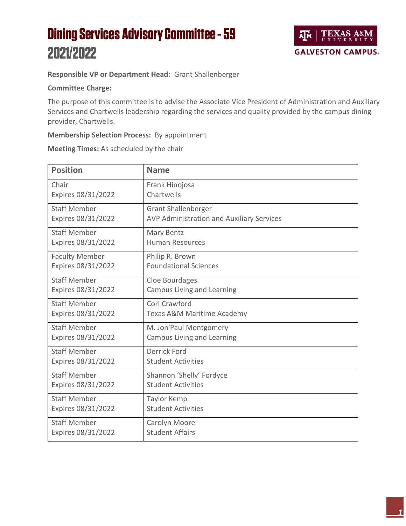## **Dining Services Advisory Committee - 59** 2021/2022



## **Responsible VP or Department Head:** Grant Shallenberger

## **Committee Charge:**

The purpose of this committee is to advise the Associate Vice President of Administration and Auxiliary Services and Chartwells leadership regarding the services and quality provided by the campus dining provider, Chartwells.

## **Membership Selection Process:** By appointment

**Meeting Times:** As scheduled by the chair

| <b>Position</b>       | <b>Name</b>                               |
|-----------------------|-------------------------------------------|
| Chair                 | Frank Hinojosa                            |
| Expires 08/31/2022    | Chartwells                                |
| <b>Staff Member</b>   | <b>Grant Shallenberger</b>                |
| Expires 08/31/2022    | AVP Administration and Auxiliary Services |
| <b>Staff Member</b>   | Mary Bentz                                |
| Expires 08/31/2022    | <b>Human Resources</b>                    |
| <b>Faculty Member</b> | Philip R. Brown                           |
| Expires 08/31/2022    | <b>Foundational Sciences</b>              |
| <b>Staff Member</b>   | Cloe Bourdages                            |
| Expires 08/31/2022    | Campus Living and Learning                |
| <b>Staff Member</b>   | Cori Crawford                             |
| Expires 08/31/2022    | Texas A&M Maritime Academy                |
| <b>Staff Member</b>   | M. Jon'Paul Montgomery                    |
| Expires 08/31/2022    | Campus Living and Learning                |
| <b>Staff Member</b>   | <b>Derrick Ford</b>                       |
| Expires 08/31/2022    | <b>Student Activities</b>                 |
| <b>Staff Member</b>   | Shannon 'Shelly' Fordyce                  |
| Expires 08/31/2022    | <b>Student Activities</b>                 |
| <b>Staff Member</b>   | Taylor Kemp                               |
| Expires 08/31/2022    | <b>Student Activities</b>                 |
| <b>Staff Member</b>   | Carolyn Moore                             |
| Expires 08/31/2022    | <b>Student Affairs</b>                    |